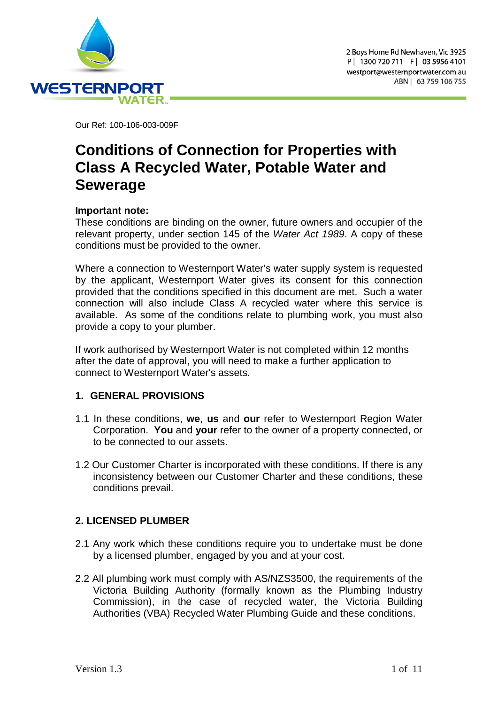

Our Ref: 100-106-003-009F

# **Conditions of Connection for Properties with Class A Recycled Water, Potable Water and Sewerage**

# **Important note:**

These conditions are binding on the owner, future owners and occupier of the relevant property, under section 145 of the *Water Act 1989*. A copy of these conditions must be provided to the owner.

Where a connection to Westernport Water's water supply system is requested by the applicant, Westernport Water gives its consent for this connection provided that the conditions specified in this document are met. Such a water connection will also include Class A recycled water where this service is available. As some of the conditions relate to plumbing work, you must also provide a copy to your plumber.

If work authorised by Westernport Water is not completed within 12 months after the date of approval, you will need to make a further application to connect to Westernport Water's assets.

# **1. GENERAL PROVISIONS**

- 1.1 In these conditions, **we**, **us** and **our** refer to Westernport Region Water Corporation. **You** and **your** refer to the owner of a property connected, or to be connected to our assets.
- 1.2 Our Customer Charter is incorporated with these conditions. If there is any inconsistency between our Customer Charter and these conditions, these conditions prevail.

# **2. LICENSED PLUMBER**

- 2.1 Any work which these conditions require you to undertake must be done by a licensed plumber, engaged by you and at your cost.
- 2.2 All plumbing work must comply with AS/NZS3500, the requirements of the Victoria Building Authority (formally known as the Plumbing Industry Commission), in the case of recycled water, the Victoria Building Authorities (VBA) Recycled Water Plumbing Guide and these conditions.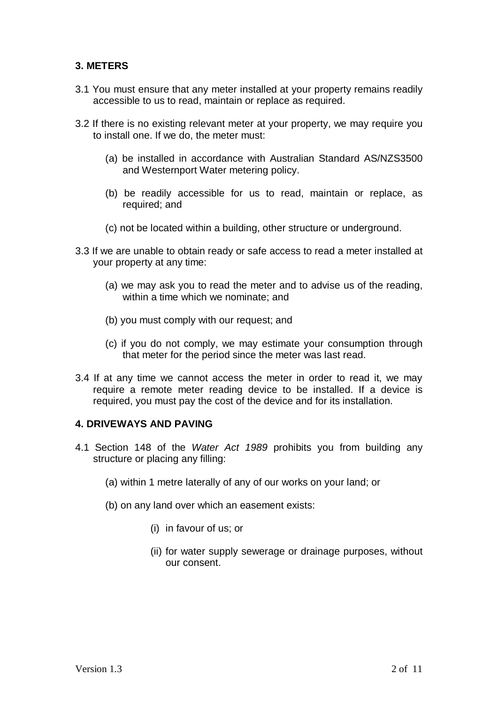# **3. METERS**

- 3.1 You must ensure that any meter installed at your property remains readily accessible to us to read, maintain or replace as required.
- 3.2 If there is no existing relevant meter at your property, we may require you to install one. If we do, the meter must:
	- (a) be installed in accordance with Australian Standard AS/NZS3500 and Westernport Water metering policy.
	- (b) be readily accessible for us to read, maintain or replace, as required; and
	- (c) not be located within a building, other structure or underground.
- 3.3 If we are unable to obtain ready or safe access to read a meter installed at your property at any time:
	- (a) we may ask you to read the meter and to advise us of the reading, within a time which we nominate; and
	- (b) you must comply with our request; and
	- (c) if you do not comply, we may estimate your consumption through that meter for the period since the meter was last read.
- 3.4 If at any time we cannot access the meter in order to read it, we may require a remote meter reading device to be installed. If a device is required, you must pay the cost of the device and for its installation.

# **4. DRIVEWAYS AND PAVING**

- 4.1 Section 148 of the *Water Act 1989* prohibits you from building any structure or placing any filling:
	- (a) within 1 metre laterally of any of our works on your land; or
	- (b) on any land over which an easement exists:
		- (i) in favour of us; or
		- (ii) for water supply sewerage or drainage purposes, without our consent.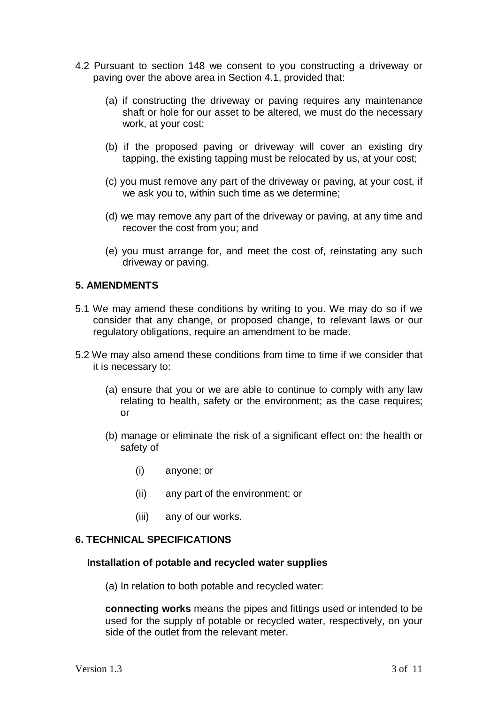- 4.2 Pursuant to section 148 we consent to you constructing a driveway or paving over the above area in Section 4.1, provided that:
	- (a) if constructing the driveway or paving requires any maintenance shaft or hole for our asset to be altered, we must do the necessary work, at your cost;
	- (b) if the proposed paving or driveway will cover an existing dry tapping, the existing tapping must be relocated by us, at your cost;
	- (c) you must remove any part of the driveway or paving, at your cost, if we ask you to, within such time as we determine;
	- (d) we may remove any part of the driveway or paving, at any time and recover the cost from you; and
	- (e) you must arrange for, and meet the cost of, reinstating any such driveway or paving.

## **5. AMENDMENTS**

- 5.1 We may amend these conditions by writing to you. We may do so if we consider that any change, or proposed change, to relevant laws or our regulatory obligations, require an amendment to be made.
- 5.2 We may also amend these conditions from time to time if we consider that it is necessary to:
	- (a) ensure that you or we are able to continue to comply with any law relating to health, safety or the environment; as the case requires; or
	- (b) manage or eliminate the risk of a significant effect on: the health or safety of
		- (i) anyone; or
		- (ii) any part of the environment; or
		- (iii) any of our works.

#### **6. TECHNICAL SPECIFICATIONS**

#### **Installation of potable and recycled water supplies**

(a) In relation to both potable and recycled water:

**connecting works** means the pipes and fittings used or intended to be used for the supply of potable or recycled water, respectively, on your side of the outlet from the relevant meter.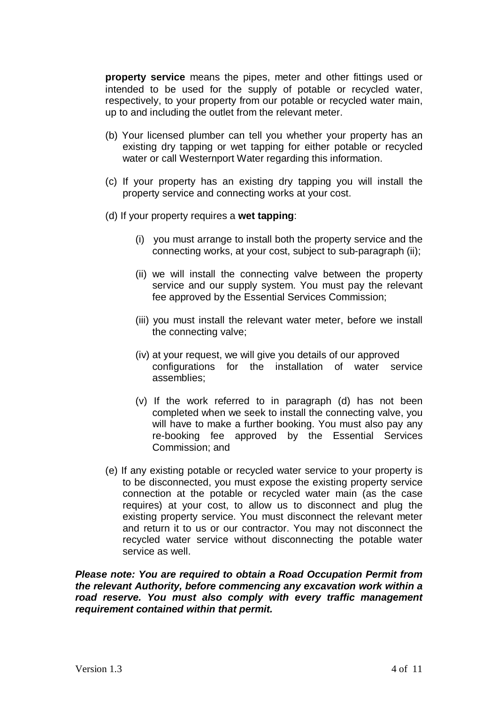**property service** means the pipes, meter and other fittings used or intended to be used for the supply of potable or recycled water, respectively, to your property from our potable or recycled water main, up to and including the outlet from the relevant meter.

- (b) Your licensed plumber can tell you whether your property has an existing dry tapping or wet tapping for either potable or recycled water or call Westernport Water regarding this information.
- (c) If your property has an existing dry tapping you will install the property service and connecting works at your cost.
- (d) If your property requires a **wet tapping**:
	- (i) you must arrange to install both the property service and the connecting works, at your cost, subject to sub-paragraph (ii);
	- (ii) we will install the connecting valve between the property service and our supply system. You must pay the relevant fee approved by the Essential Services Commission;
	- (iii) you must install the relevant water meter, before we install the connecting valve;
	- (iv) at your request, we will give you details of our approved configurations for the installation of water service assemblies;
	- (v) If the work referred to in paragraph (d) has not been completed when we seek to install the connecting valve, you will have to make a further booking. You must also pay any re-booking fee approved by the Essential Services Commission; and
- (e) If any existing potable or recycled water service to your property is to be disconnected, you must expose the existing property service connection at the potable or recycled water main (as the case requires) at your cost, to allow us to disconnect and plug the existing property service. You must disconnect the relevant meter and return it to us or our contractor. You may not disconnect the recycled water service without disconnecting the potable water service as well.

*Please note: You are required to obtain a Road Occupation Permit from the relevant Authority, before commencing any excavation work within a road reserve. You must also comply with every traffic management requirement contained within that permit.*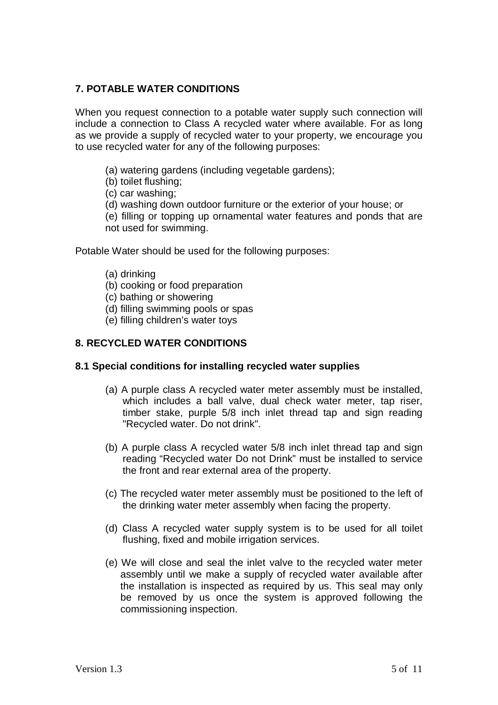# **7. POTABLE WATER CONDITIONS**

When you request connection to a potable water supply such connection will include a connection to Class A recycled water where available. For as long as we provide a supply of recycled water to your property, we encourage you to use recycled water for any of the following purposes:

- (a) watering gardens (including vegetable gardens);
- (b) toilet flushing;
- (c) car washing;
- (d) washing down outdoor furniture or the exterior of your house; or

(e) filling or topping up ornamental water features and ponds that are not used for swimming.

Potable Water should be used for the following purposes:

- (a) drinking
- (b) cooking or food preparation
- (c) bathing or showering
- (d) filling swimming pools or spas
- (e) filling children's water toys

# **8. RECYCLED WATER CONDITIONS**

#### **8.1 Special conditions for installing recycled water supplies**

- (a) A purple class A recycled water meter assembly must be installed, which includes a ball valve, dual check water meter, tap riser, timber stake, purple 5/8 inch inlet thread tap and sign reading "Recycled water. Do not drink".
- (b) A purple class A recycled water 5/8 inch inlet thread tap and sign reading "Recycled water Do not Drink" must be installed to service the front and rear external area of the property.
- (c) The recycled water meter assembly must be positioned to the left of the drinking water meter assembly when facing the property.
- (d) Class A recycled water supply system is to be used for all toilet flushing, fixed and mobile irrigation services.
- (e) We will close and seal the inlet valve to the recycled water meter assembly until we make a supply of recycled water available after the installation is inspected as required by us. This seal may only be removed by us once the system is approved following the commissioning inspection.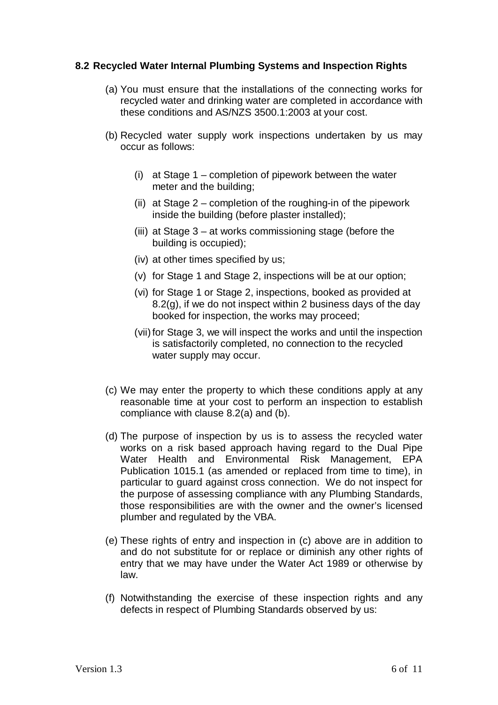# **8.2 Recycled Water Internal Plumbing Systems and Inspection Rights**

- (a) You must ensure that the installations of the connecting works for recycled water and drinking water are completed in accordance with these conditions and AS/NZS 3500.1:2003 at your cost.
- (b) Recycled water supply work inspections undertaken by us may occur as follows:
	- (i) at Stage 1 completion of pipework between the water meter and the building;
	- (ii) at Stage 2 completion of the roughing-in of the pipework inside the building (before plaster installed);
	- (iii) at Stage 3 at works commissioning stage (before the building is occupied);
	- (iv) at other times specified by us;
	- (v) for Stage 1 and Stage 2, inspections will be at our option;
	- (vi) for Stage 1 or Stage 2, inspections, booked as provided at 8.2(g), if we do not inspect within 2 business days of the day booked for inspection, the works may proceed;
	- (vii) for Stage 3, we will inspect the works and until the inspection is satisfactorily completed, no connection to the recycled water supply may occur.
- (c) We may enter the property to which these conditions apply at any reasonable time at your cost to perform an inspection to establish compliance with clause 8.2(a) and (b).
- (d) The purpose of inspection by us is to assess the recycled water works on a risk based approach having regard to the Dual Pipe Water Health and Environmental Risk Management, EPA Publication 1015.1 (as amended or replaced from time to time), in particular to guard against cross connection. We do not inspect for the purpose of assessing compliance with any Plumbing Standards, those responsibilities are with the owner and the owner's licensed plumber and regulated by the VBA.
- (e) These rights of entry and inspection in (c) above are in addition to and do not substitute for or replace or diminish any other rights of entry that we may have under the Water Act 1989 or otherwise by law.
- (f) Notwithstanding the exercise of these inspection rights and any defects in respect of Plumbing Standards observed by us: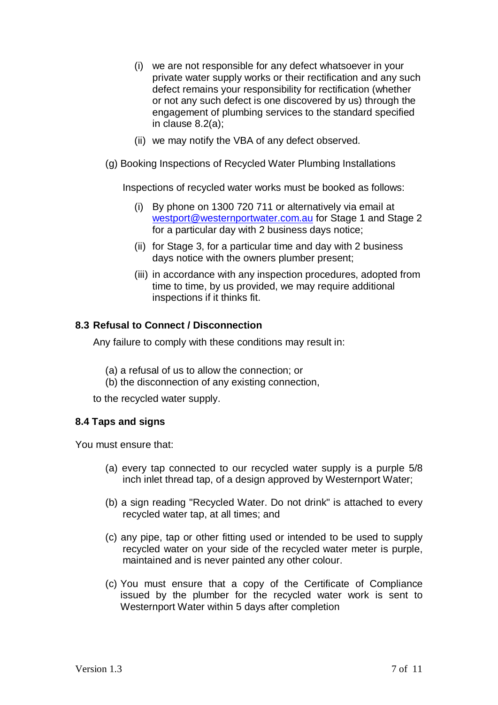- (i) we are not responsible for any defect whatsoever in your private water supply works or their rectification and any such defect remains your responsibility for rectification (whether or not any such defect is one discovered by us) through the engagement of plumbing services to the standard specified in clause 8.2(a);
- (ii) we may notify the VBA of any defect observed.
- (g) Booking Inspections of Recycled Water Plumbing Installations

Inspections of recycled water works must be booked as follows:

- (i) By phone on 1300 720 711 or alternatively via email at [westport@westernportwater.com.au](mailto:westport@westernportwater.com.au) for Stage 1 and Stage 2 for a particular day with 2 business days notice;
- (ii) for Stage 3, for a particular time and day with 2 business days notice with the owners plumber present;
- (iii) in accordance with any inspection procedures, adopted from time to time, by us provided, we may require additional inspections if it thinks fit.

# **8.3 Refusal to Connect / Disconnection**

Any failure to comply with these conditions may result in:

- (a) a refusal of us to allow the connection; or
- (b) the disconnection of any existing connection,

to the recycled water supply.

# **8.4 Taps and signs**

You must ensure that:

- (a) every tap connected to our recycled water supply is a purple 5/8 inch inlet thread tap, of a design approved by Westernport Water;
- (b) a sign reading "Recycled Water. Do not drink" is attached to every recycled water tap, at all times; and
- (c) any pipe, tap or other fitting used or intended to be used to supply recycled water on your side of the recycled water meter is purple, maintained and is never painted any other colour.
- (c) You must ensure that a copy of the Certificate of Compliance issued by the plumber for the recycled water work is sent to Westernport Water within 5 days after completion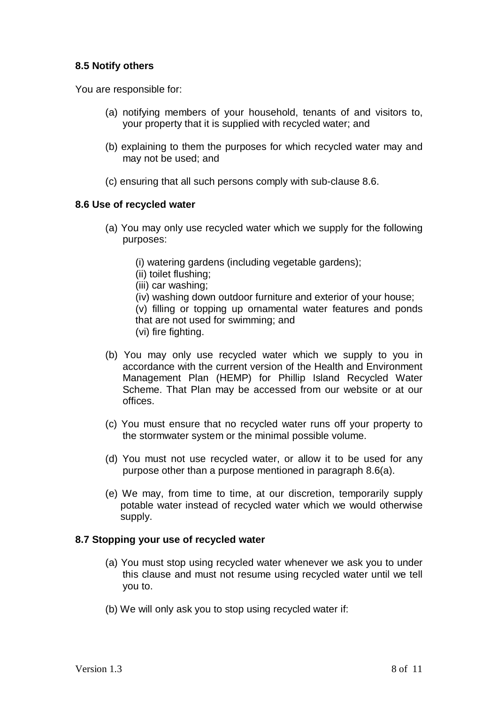# **8.5 Notify others**

You are responsible for:

- (a) notifying members of your household, tenants of and visitors to, your property that it is supplied with recycled water; and
- (b) explaining to them the purposes for which recycled water may and may not be used; and
- (c) ensuring that all such persons comply with sub-clause 8.6.

## **8.6 Use of recycled water**

- (a) You may only use recycled water which we supply for the following purposes:
	- (i) watering gardens (including vegetable gardens);
	- (ii) toilet flushing;
	- (iii) car washing;
	- (iv) washing down outdoor furniture and exterior of your house;
	- (v) filling or topping up ornamental water features and ponds that are not used for swimming; and
	- (vi) fire fighting.
- (b) You may only use recycled water which we supply to you in accordance with the current version of the Health and Environment Management Plan (HEMP) for Phillip Island Recycled Water Scheme. That Plan may be accessed from our website or at our offices.
- (c) You must ensure that no recycled water runs off your property to the stormwater system or the minimal possible volume.
- (d) You must not use recycled water, or allow it to be used for any purpose other than a purpose mentioned in paragraph 8.6(a).
- (e) We may, from time to time, at our discretion, temporarily supply potable water instead of recycled water which we would otherwise supply.

# **8.7 Stopping your use of recycled water**

- (a) You must stop using recycled water whenever we ask you to under this clause and must not resume using recycled water until we tell you to.
- (b) We will only ask you to stop using recycled water if: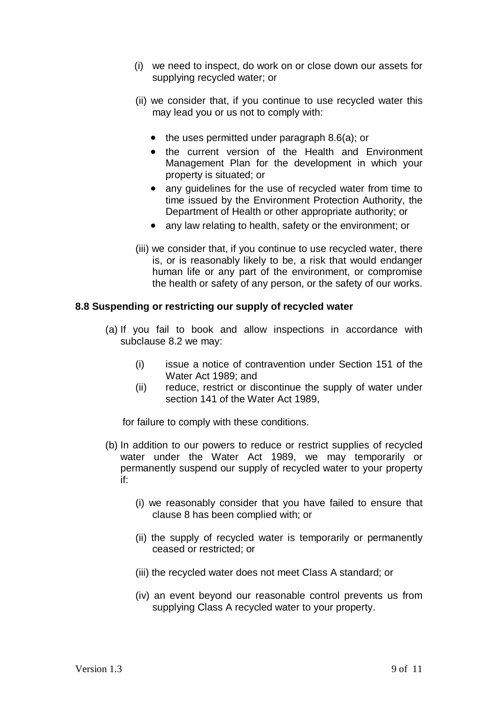- (i) we need to inspect, do work on or close down our assets for supplying recycled water; or
- (ii) we consider that, if you continue to use recycled water this may lead you or us not to comply with:
	- the uses permitted under paragraph 8.6(a); or
	- the current version of the Health and Environment Management Plan for the development in which your property is situated; or
	- any guidelines for the use of recycled water from time to time issued by the Environment Protection Authority, the Department of Health or other appropriate authority; or
	- any law relating to health, safety or the environment; or
- (iii) we consider that, if you continue to use recycled water, there is, or is reasonably likely to be, a risk that would endanger human life or any part of the environment, or compromise the health or safety of any person, or the safety of our works.

## **8.8 Suspending or restricting our supply of recycled water**

- (a) If you fail to book and allow inspections in accordance with subclause 8.2 we may:
	- (i) issue a notice of contravention under Section 151 of the Water Act 1989; and
	- (ii) reduce, restrict or discontinue the supply of water under section 141 of the Water Act 1989,

for failure to comply with these conditions.

- (b) In addition to our powers to reduce or restrict supplies of recycled water under the Water Act 1989, we may temporarily or permanently suspend our supply of recycled water to your property if:
	- (i) we reasonably consider that you have failed to ensure that clause 8 has been complied with; or
	- (ii) the supply of recycled water is temporarily or permanently ceased or restricted; or
	- (iii) the recycled water does not meet Class A standard; or
	- (iv) an event beyond our reasonable control prevents us from supplying Class A recycled water to your property.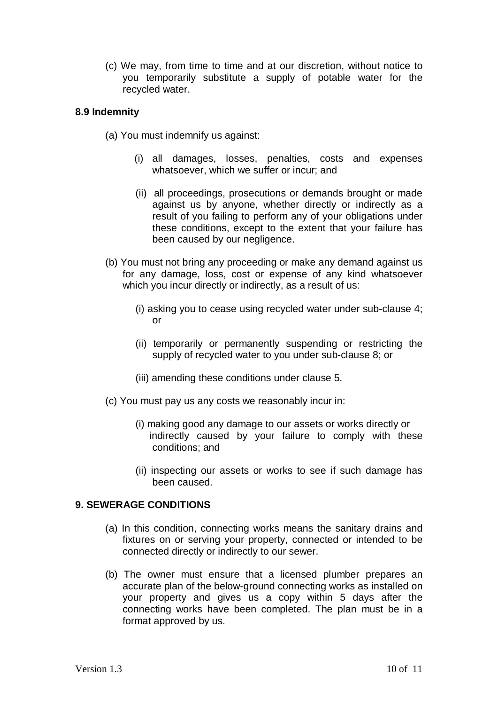(c) We may, from time to time and at our discretion, without notice to you temporarily substitute a supply of potable water for the recycled water.

## **8.9 Indemnity**

- (a) You must indemnify us against:
	- (i) all damages, losses, penalties, costs and expenses whatsoever, which we suffer or incur; and
	- (ii) all proceedings, prosecutions or demands brought or made against us by anyone, whether directly or indirectly as a result of you failing to perform any of your obligations under these conditions, except to the extent that your failure has been caused by our negligence.
- (b) You must not bring any proceeding or make any demand against us for any damage, loss, cost or expense of any kind whatsoever which you incur directly or indirectly, as a result of us:
	- (i) asking you to cease using recycled water under sub-clause 4; or
	- (ii) temporarily or permanently suspending or restricting the supply of recycled water to you under sub-clause 8; or
	- (iii) amending these conditions under clause 5.
- (c) You must pay us any costs we reasonably incur in:
	- (i) making good any damage to our assets or works directly or indirectly caused by your failure to comply with these conditions; and
	- (ii) inspecting our assets or works to see if such damage has been caused.

## **9. SEWERAGE CONDITIONS**

- (a) In this condition, connecting works means the sanitary drains and fixtures on or serving your property, connected or intended to be connected directly or indirectly to our sewer.
- (b) The owner must ensure that a licensed plumber prepares an accurate plan of the below-ground connecting works as installed on your property and gives us a copy within 5 days after the connecting works have been completed. The plan must be in a format approved by us.